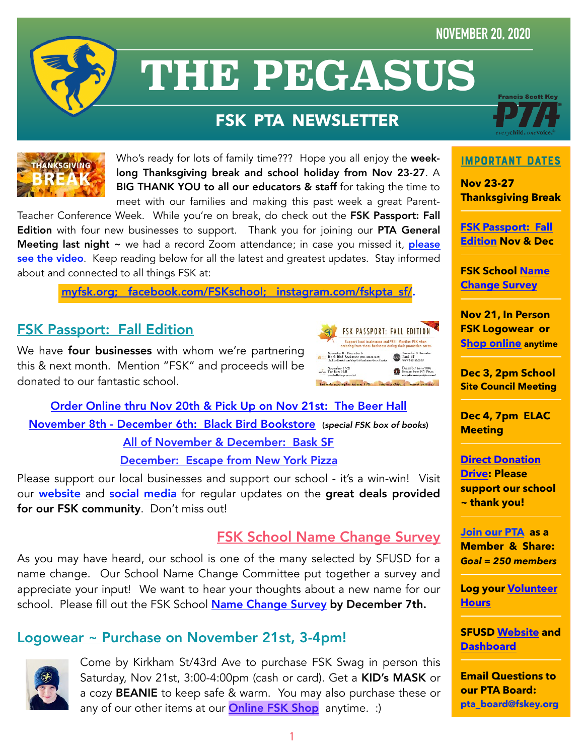#### **NOVEMBER 20, 2020**



# **THE PEGASUS**

## **FSK PTA NEWSLETTER**



Who's ready for lots of family time??? Hope you all enjoy the weeklong Thanksgiving break and school holiday from Nov 23-27. A BIG THANK YOU to all our educators & staff for taking the time to meet with our families and making this past week a great Parent-

Teacher Conference Week. While you're on break, do check out the FSK Passport: Fall Edition with four new businesses to support. Thank you for joining our PTA General Meeting last night ~ we had a record Zoom attendance; in case you missed it, please [see the video](https://youtu.be/NEr6RPsjWBE). Keep reading below for all the latest and greatest updates. Stay informed about and connected to all things FSK at:

[myfsk.org](https://myfsk.org); [facebook.com/FSKschool;](http://www.facebook.com/FSKschool) [instagram.com/fskpta\\_sf/](https://www.instagram.com/fskpta_sf/).

#### FSK Passport: Fall Edition

We have **four businesses** with whom we're partnering this & next month. Mention "FSK" and proceeds will be donated to our fantastic school.



[Order Online thru Nov 20th & Pick Up on Nov 21st: The Beer Hall](https://beerhallsf.square.site/) [November 8th - December 6th: Black Bird Bookstore](https://www.blackbirdbooksf.com/shop/fsk-fundraiser-box-of-books) (*special FSK box of books*) [All of November & December: Bask SF](http://www.basksf.com/) [December: Escape from New York Pizza](https://escapefromnewyorkpizza.com/home/east/)

Please support our local businesses and support our school - it's a win-win! Visit our **[website](http://myfsk.org)** and **[social](http://facebook.com/FSKschool) [media](http://instagram.com/fskpta_sf/)** for regular updates on the great deals provided for our FSK community. Don't miss out!

#### FSK School Name Change Survey

As you may have heard, our school is one of the many selected by SFUSD for a name change. Our School Name Change Committee put together a survey and appreciate your input! We want to hear your thoughts about a new name for our school. Please fill out the FSK School [Name Change Survey](https://forms.gle/9wHAAv49uEQ4DCB29) by December 7th.

#### Logowear ~ Purchase on November 21st, 3-4pm!



Come by Kirkham St/43rd Ave to purchase FSK Swag in person this Saturday, Nov 21st, 3:00-4:00pm (cash or card). Get a KID's MASK or a cozy BEANIE to keep safe & warm. You may also purchase these or any of our other items at our **[Online FSK Shop](https://myfsk.org/shop/)** anytime. :)



#### ImPoRtAnT DaTeS

**Nov 23-27 Thanksgiving Break** 

**[FSK Passport: Fall](https://myfsk.org/fsk-fall-passport-november-and-december/)  [Edition](https://myfsk.org/fsk-fall-passport-november-and-december/) Nov & Dec** 

**FSK School [Name](https://forms.gle/9wHAAv49uEQ4DCB29)  [Change Survey](https://forms.gle/9wHAAv49uEQ4DCB29)**

**Nov 21, In Person FSK Logowear or [Shop online](https://myfsk.org/shop/) anytime**

**Dec 3, 2pm School Site Council Meeting**

**Dec 4, 7pm ELAC Meeting** 

**[Direct Donation](http://bit.ly/fskdonate)  [Drive:](http://bit.ly/fskdonate) Please support our school ~ thank you!** 

**[Join our PTA](https://jointotem.com/ca/san-francisco/francis-scott-key-elementary-pta/join/register) as a Member & Share:**  *Goal = 250 members* 

**Log your [Volunteer](https://docs.google.com/forms/d/e/1FAIpQLSd3Yv-P6Vr0N20ErlroPtnAghhG8sok4mJ8KCWQ6fSe6Siaxw/viewform?vc=0&c=0&w=1&flr=0&gxids=7757)  [Hours](https://docs.google.com/forms/d/e/1FAIpQLSd3Yv-P6Vr0N20ErlroPtnAghhG8sok4mJ8KCWQ6fSe6Siaxw/viewform?vc=0&c=0&w=1&flr=0&gxids=7757)** 

**SFUSD [Website](https://www.sfusd.edu/) and [Dashboard](https://www.sfusd.edu/services/health-wellness/covid-19-coronavirus-resources-families-students/person-learning-readiness-dashboard-phase-2a)**

**Email Questions to our PTA Board: [pta\\_board@fskey.org](mailto:pta_board@fskey.org)**